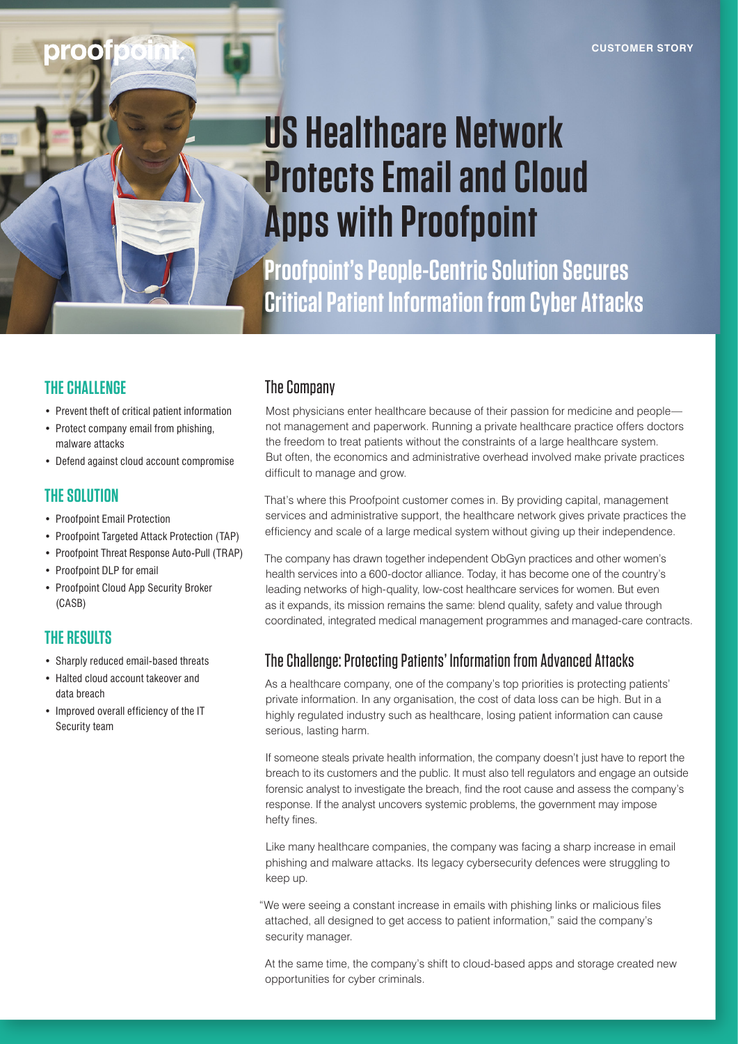# **US Healthcare Network Protects Email and Cloud Apps with Proofpoint**

**Proofpoint's People-Centric Solution Secures Critical Patient Information from Cyber Attacks**

## **THE CHALLENGE**

- Prevent theft of critical patient information
- Protect company email from phishing, malware attacks
- Defend against cloud account compromise

#### **THE SOLUTION**

- Proofpoint Email Protection
- Proofpoint Targeted Attack Protection (TAP)
- Proofpoint Threat Response Auto-Pull (TRAP)
- Proofpoint DLP for email
- Proofpoint Cloud App Security Broker (CASB)

# **THE RESULTS**

- Sharply reduced email-based threats
- Halted cloud account takeover and data breach
- Improved overall efficiency of the IT Security team

# The Company

Most physicians enter healthcare because of their passion for medicine and people not management and paperwork. Running a private healthcare practice offers doctors the freedom to treat patients without the constraints of a large healthcare system. But often, the economics and administrative overhead involved make private practices difficult to manage and grow.

That's where this Proofpoint customer comes in. By providing capital, management services and administrative support, the healthcare network gives private practices the efficiency and scale of a large medical system without giving up their independence.

The company has drawn together independent ObGyn practices and other women's health services into a 600-doctor alliance. Today, it has become one of the country's leading networks of high-quality, low-cost healthcare services for women. But even as it expands, its mission remains the same: blend quality, safety and value through coordinated, integrated medical management programmes and managed-care contracts.

# The Challenge: Protecting Patients' Information from Advanced Attacks

As a healthcare company, one of the company's top priorities is protecting patients' private information. In any organisation, the cost of data loss can be high. But in a highly regulated industry such as healthcare, losing patient information can cause serious, lasting harm.

If someone steals private health information, the company doesn't just have to report the breach to its customers and the public. It must also tell regulators and engage an outside forensic analyst to investigate the breach, find the root cause and assess the company's response. If the analyst uncovers systemic problems, the government may impose hefty fines.

Like many healthcare companies, the company was facing a sharp increase in email phishing and malware attacks. Its legacy cybersecurity defences were struggling to keep up.

"We were seeing a constant increase in emails with phishing links or malicious files attached, all designed to get access to patient information," said the company's security manager.

At the same time, the company's shift to cloud-based apps and storage created new opportunities for cyber criminals.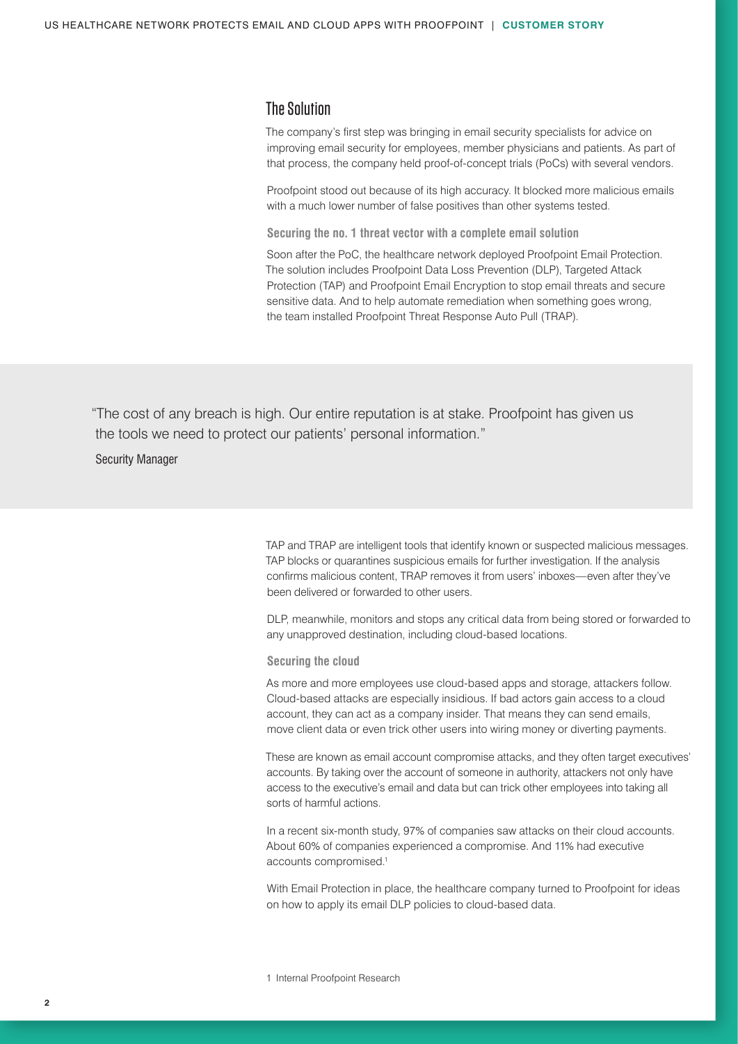#### The Solution

The company's first step was bringing in email security specialists for advice on improving email security for employees, member physicians and patients. As part of that process, the company held proof-of-concept trials (PoCs) with several vendors.

Proofpoint stood out because of its high accuracy. It blocked more malicious emails with a much lower number of false positives than other systems tested.

**Securing the no. 1 threat vector with a complete email solution**

Soon after the PoC, the healthcare network deployed Proofpoint Email Protection. The solution includes Proofpoint Data Loss Prevention (DLP), Targeted Attack Protection (TAP) and Proofpoint Email Encryption to stop email threats and secure sensitive data. And to help automate remediation when something goes wrong, the team installed Proofpoint Threat Response Auto Pull (TRAP).

"The cost of any breach is high. Our entire reputation is at stake. Proofpoint has given us the tools we need to protect our patients' personal information."

Security Manager

TAP and TRAP are intelligent tools that identify known or suspected malicious messages. TAP blocks or quarantines suspicious emails for further investigation. If the analysis confirms malicious content, TRAP removes it from users' inboxes—even after they've been delivered or forwarded to other users.

DLP, meanwhile, monitors and stops any critical data from being stored or forwarded to any unapproved destination, including cloud-based locations.

**Securing the cloud** 

As more and more employees use cloud-based apps and storage, attackers follow. Cloud-based attacks are especially insidious. If bad actors gain access to a cloud account, they can act as a company insider. That means they can send emails, move client data or even trick other users into wiring money or diverting payments.

These are known as email account compromise attacks, and they often target executives' accounts. By taking over the account of someone in authority, attackers not only have access to the executive's email and data but can trick other employees into taking all sorts of harmful actions.

In a recent six-month study, 97% of companies saw attacks on their cloud accounts. About 60% of companies experienced a compromise. And 11% had executive accounts compromised.1

With Email Protection in place, the healthcare company turned to Proofpoint for ideas on how to apply its email DLP policies to cloud-based data.

1 Internal Proofpoint Research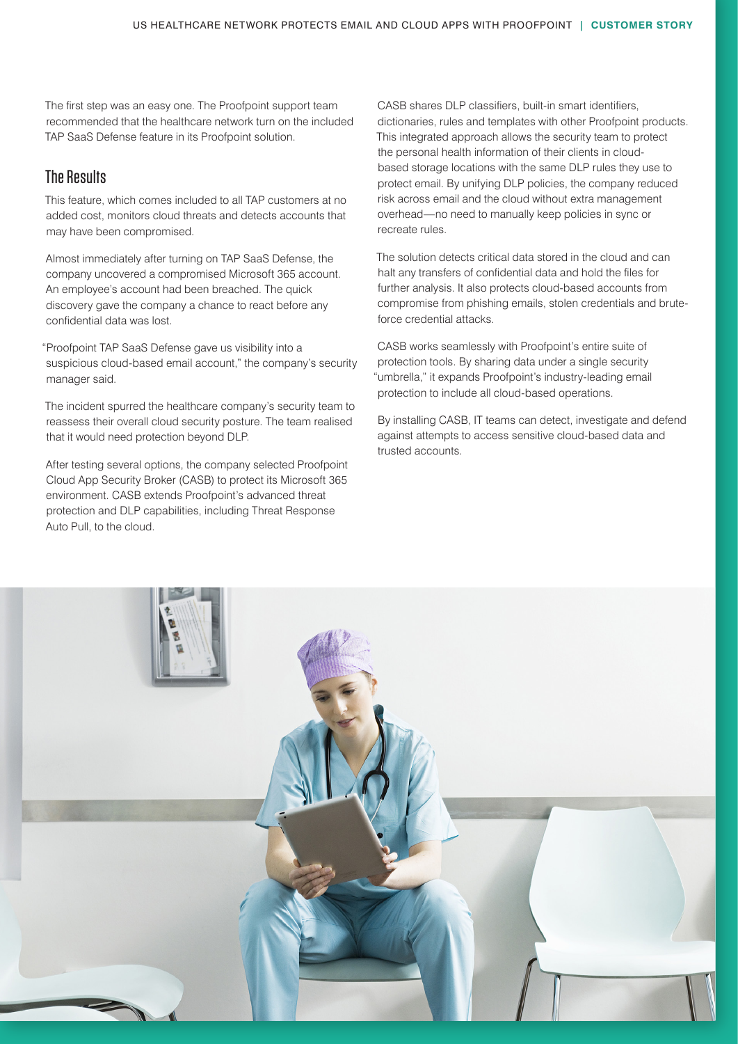The first step was an easy one. The Proofpoint support team recommended that the healthcare network turn on the included TAP SaaS Defense feature in its Proofpoint solution.

### The Results

This feature, which comes included to all TAP customers at no added cost, monitors cloud threats and detects accounts that may have been compromised.

Almost immediately after turning on TAP SaaS Defense, the company uncovered a compromised Microsoft 365 account. An employee's account had been breached. The quick discovery gave the company a chance to react before any confidential data was lost.

"Proofpoint TAP SaaS Defense gave us visibility into a suspicious cloud-based email account," the company's security manager said.

The incident spurred the healthcare company's security team to reassess their overall cloud security posture. The team realised that it would need protection beyond DLP.

After testing several options, the company selected Proofpoint Cloud App Security Broker (CASB) to protect its Microsoft 365 environment. CASB extends Proofpoint's advanced threat protection and DLP capabilities, including Threat Response Auto Pull, to the cloud.

CASB shares DLP classifiers, built-in smart identifiers, dictionaries, rules and templates with other Proofpoint products. This integrated approach allows the security team to protect the personal health information of their clients in cloudbased storage locations with the same DLP rules they use to protect email. By unifying DLP policies, the company reduced risk across email and the cloud without extra management overhead—no need to manually keep policies in sync or recreate rules.

The solution detects critical data stored in the cloud and can halt any transfers of confidential data and hold the files for further analysis. It also protects cloud-based accounts from compromise from phishing emails, stolen credentials and bruteforce credential attacks.

CASB works seamlessly with Proofpoint's entire suite of protection tools. By sharing data under a single security "umbrella," it expands Proofpoint's industry-leading email protection to include all cloud-based operations.

By installing CASB, IT teams can detect, investigate and defend against attempts to access sensitive cloud-based data and trusted accounts.